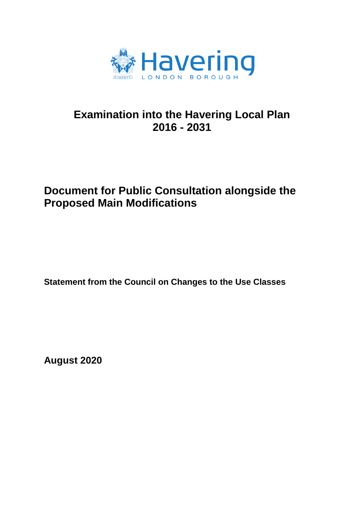

# **Examination into the Havering Local Plan 2016 - 2031**

# **Document for Public Consultation alongside the Proposed Main Modifications**

**Statement from the Council on Changes to the Use Classes**

**August 2020**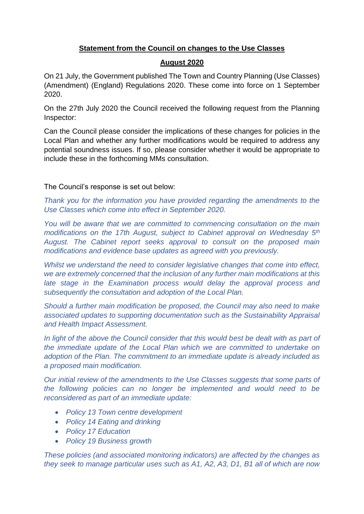## **Statement from the Council on changes to the Use Classes**

### **August 2020**

On 21 July, the Government published The Town and Country Planning (Use Classes) (Amendment) (England) Regulations 2020. These come into force on 1 September 2020.

On the 27th July 2020 the Council received the following request from the Planning Inspector:

Can the Council please consider the implications of these changes for policies in the Local Plan and whether any further modifications would be required to address any potential soundness issues. If so, please consider whether it would be appropriate to include these in the forthcoming MMs consultation.

### The Council's response is set out below:

*Thank you for the information you have provided regarding the amendments to the Use Classes which come into effect in September 2020.*

*You will be aware that we are committed to commencing consultation on the main modifications on the 17th August, subject to Cabinet approval on Wednesday 5th August. The Cabinet report seeks approval to consult on the proposed main modifications and evidence base updates as agreed with you previously.*

*Whilst we understand the need to consider legislative changes that come into effect, we are extremely concerned that the inclusion of any further main modifications at this late stage in the Examination process would delay the approval process and subsequently the consultation and adoption of the Local Plan.*

*Should a further main modification be proposed, the Council may also need to make associated updates to supporting documentation such as the Sustainability Appraisal and Health Impact Assessment.*

*In light of the above the Council consider that this would best be dealt with as part of the immediate update of the Local Plan which we are committed to undertake on adoption of the Plan. The commitment to an immediate update is already included as a proposed main modification.*

*Our initial review of the amendments to the Use Classes suggests that some parts of the following policies can no longer be implemented and would need to be reconsidered as part of an immediate update:*

- *Policy 13 Town centre development*
- *Policy 14 Eating and drinking*
- *Policy 17 Education*
- *Policy 19 Business growth*

*These policies (and associated monitoring indicators) are affected by the changes as they seek to manage particular uses such as A1, A2, A3, D1, B1 all of which are now*